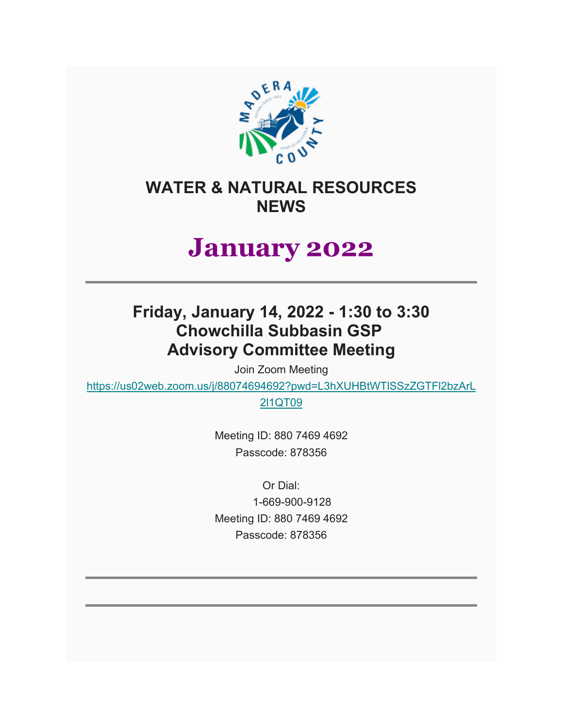

## **WATER & NATURAL RESOURCES NEWS**

# **January 2022**

## **Friday, January 14, 2022 - 1:30 to 3:30 Chowchilla Subbasin GSP Advisory Committee Meeting**

Join Zoom Meeting

[https://us02web.zoom.us/j/88074694692?pwd=L3hXUHBtWTlSSzZGTFl2bzArL](https://us02web.zoom.us/j/88074694692?pwd=L3hXUHBtWTlSSzZGTFl2bzArL2l1QT09)

[2l1QT09](https://us02web.zoom.us/j/88074694692?pwd=L3hXUHBtWTlSSzZGTFl2bzArL2l1QT09)

Meeting ID: 880 7469 4692 Passcode: 878356

Or Dial: 1-669-900-9128 Meeting ID: 880 7469 4692 Passcode: 878356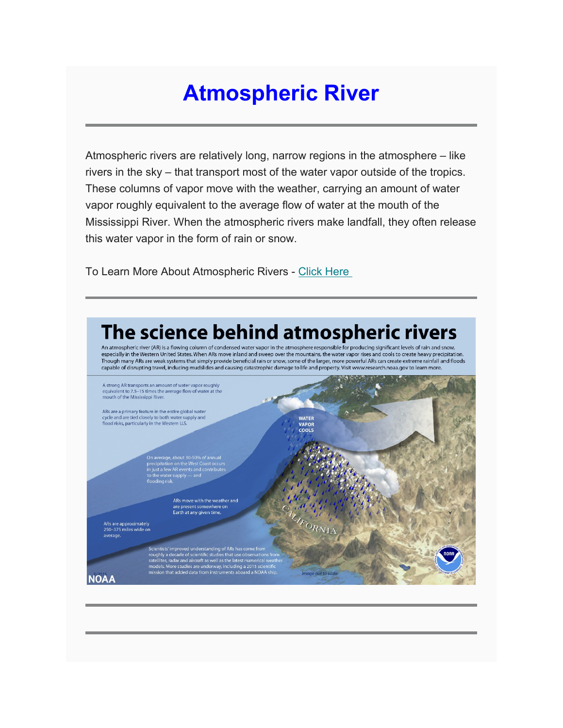# **Atmospheric River**

Atmospheric rivers are relatively long, narrow regions in the atmosphere – like rivers in the sky – that transport most of the water vapor outside of the tropics. These columns of vapor move with the weather, carrying an amount of water vapor roughly equivalent to the average flow of water at the mouth of the Mississippi River. When the atmospheric rivers make landfall, they often release this water vapor in the form of rain or snow.

To Learn More About Atmospheric Rivers - [Click Here](https://www.maderacountywater.com/natural-resources/)

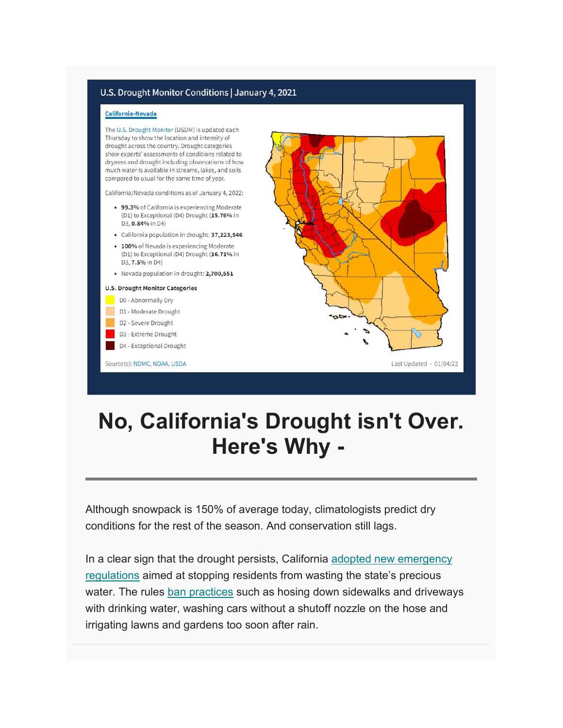### U.S. Drought Monitor Conditions | January 4, 2021

### California-Nevada

The U.S. Drought Monitor (USDM) is updated each Thursday to show the location and intensity of drought across the country. Drought categories show experts' assessments of conditions related to dryness and drought including observations of how much water is available in streams, lakes, and soils compared to usual for the same time of year.

California/Nevada conditions as of January 4, 2022:

- 99.3% of California is experiencing Moderate (D1) to Exceptional (D4) Drought (15.76% in D3, 0.84% in D4)
- California population in drought: 37,223,546
- · 100% of Nevada is experiencing Moderate (D1) to Exceptional (D4) Drought (16.71% in D3, 7.5% in D4)
- Nevada population in drought: 2,700,551

#### **U.S. Drought Monitor Categories**

- D0 Abnormally Dry
- D1 Moderate Drought
- D2 Severe Drought
- D3 Extreme Drought
- D4 Exceptional Drought Source(s): NDMC, NOAA, USDA

Last Updated - 01/04/22

## No, California's Drought isn't Over. Here's Why -

Although snowpack is 150% of average today, climatologists predict dry conditions for the rest of the season. And conservation still lags.

In a clear sign that the drought persists, California adopted new emergency regulations aimed at stopping residents from wasting the state's precious water. The rules ban practices such as hosing down sidewalks and driveways with drinking water, washing cars without a shutoff nozzle on the hose and irrigating lawns and gardens too soon after rain.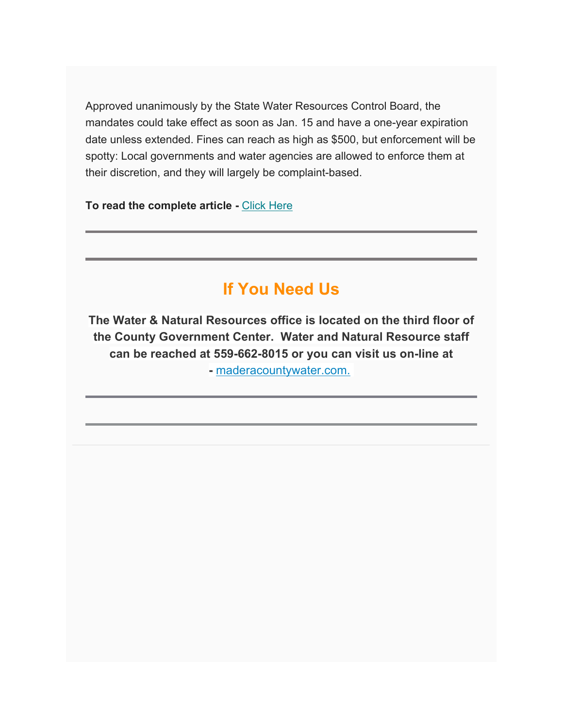Approved unanimously by the State Water Resources Control Board, the mandates could take effect as soon as Jan. 15 and have a one-year expiration date unless extended. Fines can reach as high as \$500, but enforcement will be spotty: Local governments and water agencies are allowed to enforce them at their discretion, and they will largely be complaint-based.

**To read the complete article -** [Click Here](https://www.maderacountywater.com/drought/)

## **If You Need Us**

**The Water & Natural Resources office is located on the third floor of the County Government Center. Water and Natural Resource staff can be reached at 559-662-8015 or you can visit us on-line at -** [maderacountywater.com.](https://www.maderacountywater.com/)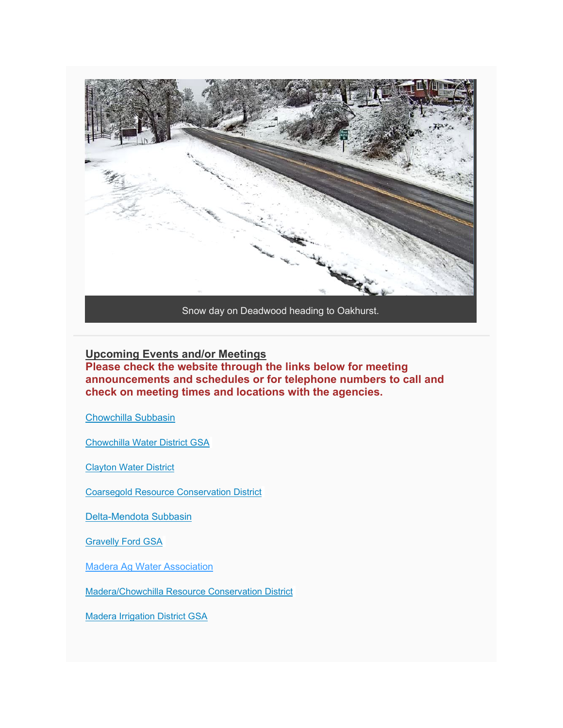

Snow day on Deadwood heading to Oakhurst.

**Upcoming Events and/or Meetings Please check the website through the links below for meeting announcements and schedules or for telephone numbers to call and check on meeting times and locations with the agencies.**

[Chowchilla Subbasin](https://www.maderacountywater.com/chowchilla-subbasin/)

[Chowchilla Water District GSA](https://www.cwdwater.com/index.php/sustainable-groundwater-management-act/122-cwd-sustainable-groundwater-management-act)

[Clayton Water District](https://claytonwd.com/)

[Coarsegold Resource Conservation District](http://www.crcd.org/)

[Delta-Mendota Subbasin](http://deltamendota.org/)

[Gravelly Ford GSA](http://gravellyfordwaterdistrict.com/gsp-gsa.html)

[Madera Ag Water Association](https://maderaagwater.wixsite.com/mysite)

[Madera/Chowchilla Resource Conservation District](http://maderachowchillarcd.org/)

[Madera Irrigation District GSA](http://www.madera-id.org/public-information/mid-groundwater-sustainability-agency/)